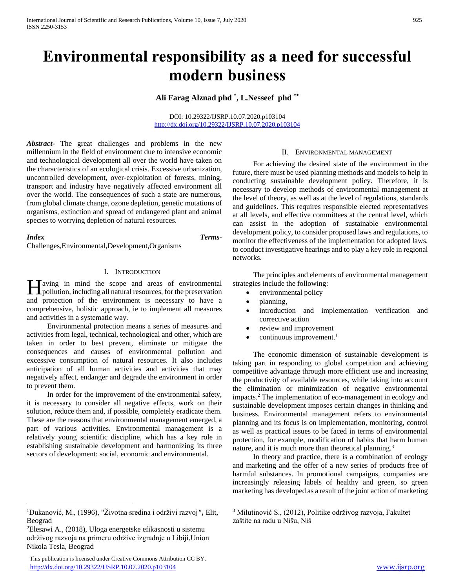# **Environmental responsibility as a need for successful modern business**

## **Ali Farag Alznad phd \* , L.Nesseef phd \*\***

DOI: 10.29322/IJSRP.10.07.2020.p103104 <http://dx.doi.org/10.29322/IJSRP.10.07.2020.p103104>

*Abstract***-** The great challenges and problems in the new millennium in the field of environment due to intensive economic and technological development all over the world have taken on the characteristics of an ecological crisis. Excessive urbanization, uncontrolled development, over-exploitation of forests, mining, transport and industry have negatively affected environment all over the world. The consequences of such a state are numerous, from global climate change, ozone depletion, genetic mutations of organisms, extinction and spread of endangered plant and animal species to worrying depletion of natural resources.

#### *Index Terms*-

 $\overline{a}$ 

Challenges,Environmental,Development,Organisms

#### I. INTRODUCTION

**Taving in mind the scope and areas of environmental has a** pollution, including all natural resources, for the preservation and protection of the environment is necessary to have a comprehensive, holistic approach, ie to implement all measures and activities in a systematic way.

 Environmental protection means a series of measures and activities from legal, technical, technological and other, which are taken in order to best prevent, eliminate or mitigate the consequences and causes of environmental pollution and excessive consumption of natural resources. It also includes anticipation of all human activities and activities that may negatively affect, endanger and degrade the environment in order to prevent them.

 In order for the improvement of the environmental safety, it is necessary to consider all negative effects, work on their solution, reduce them and, if possible, completely eradicate them. These are the reasons that environmental management emerged, a part of various activities. Environmental management is a relatively young scientific discipline, which has a key role in establishing sustainable development and harmonizing its three sectors of development: social, economic and environmental.

#### II. ENVIRONMENTAL MANAGEMENT

 For achieving the desired state of the environment in the future, there must be used planning methods and models to help in conducting sustainable development policy. Therefore, it is necessary to develop methods of environmental management at the level of theory, as well as at the level of regulations, standards and guidelines. This requires responsible elected representatives at all levels, and effective committees at the central level, which can assist in the adoption of sustainable environmental development policy, to consider proposed laws and regulations, to monitor the effectiveness of the implementation for adopted laws, to conduct investigative hearings and to play a key role in regional networks.

 The principles and elements of environmental management strategies include the following:

- environmental policy
- planning,
- introduction and implementation verification and corrective action
- review and improvement
- continuous improvement.<sup>1</sup>

 The economic dimension of sustainable development is taking part in responding to global competition and achieving competitive advantage through more efficient use and increasing the productivity of available resources, while taking into account the elimination or minimization of negative environmental impacts. <sup>2</sup> The implementation of eco-management in ecology and sustainable development imposes certain changes in thinking and business. Environmental management refers to environmental planning and its focus is on implementation, monitoring, control as well as practical issues to be faced in terms of environmental protection, for example, modification of habits that harm human nature, and it is much more than theoretical planning.<sup>3</sup>

 In theory and practice, there is a combination of ecology and marketing and the offer of a new series of products free of harmful substances. In promotional campaigns, companies are increasingly releasing labels of healthy and green, so green marketing has developed as a result of the joint action of marketing

<sup>1</sup>Đukanović, M., (1996), "Životna sredina i održivi razvoj*",* Elit, Beograd

<sup>2</sup>Elesawi A., (2018), Uloga energetske efikasnosti u sistemu održivog razvoja na primeru održive izgradnje u Libiji,Union Nikola Tesla, Beograd

This publication is licensed under Creative Commons Attribution CC BY. <http://dx.doi.org/10.29322/IJSRP.10.07.2020.p103104> [www.ijsrp.org](http://ijsrp.org/)

<sup>3</sup> Milutinović S., (2012), Politike održivog razvoja, Fakultet zaštite na radu u Nišu, Niš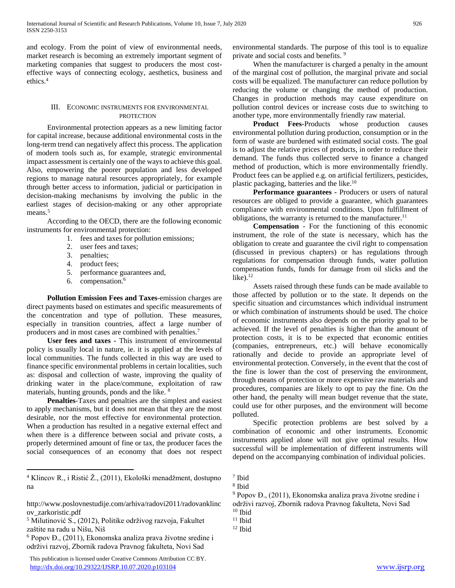and ecology. From the point of view of environmental needs, market research is becoming an extremely important segment of marketing companies that suggest to producers the most costeffective ways of connecting ecology, aesthetics, business and ethics.<sup>4</sup>

## III. ECONOMIC INSTRUMENTS FOR ENVIRONMENTAL **PROTECTION**

 Environmental protection appears as a new limiting factor for capital increase, because additional environmental costs in the long-term trend can negatively affect this process. The application of modern tools such as, for example, strategic environmental impact assessment is certainly one of the ways to achieve this goal. Also, empowering the poorer population and less developed regions to manage natural resources appropriately, for example through better access to information, judicial or participation in decision-making mechanisms by involving the public in the earliest stages of decision-making or any other appropriate means.<sup>5</sup>

 According to the OECD, there are the following economic instruments for environmental protection:

- 1. fees and taxes for pollution emissions;
- 2. user fees and taxes;
- 3. penalties;
- 4. product fees;
- 5. performance guarantees and,
- 6. compensation.<sup>6</sup>

 **Pollution Emission Fees and Taxes**-emission charges are direct payments based on estimates and specific measurements of the concentration and type of pollution. These measures, especially in transition countries, affect a large number of producers and in most cases are combined with penalties.<sup>7</sup>

 **User fees and taxes -** This instrument of environmental policy is usually local in nature, ie. it is applied at the levels of local communities. The funds collected in this way are used to finance specific environmental problems in certain localities, such as: disposal and collection of waste, improving the quality of drinking water in the place/commune, exploitation of raw materials, hunting grounds, ponds and the like. <sup>8</sup>

 **Penalties**-Taxes and penalties are the simplest and easiest to apply mechanisms, but it does not mean that they are the most desirable, nor the most effective for environmental protection. When a production has resulted in a negative external effect and when there is a difference between social and private costs, a properly determined amount of fine or tax, the producer faces the social consequences of an economy that does not respect

<sup>5</sup> Milutinović S., (2012), Politike održivog razvoja, Fakultet zaštite na radu u Nišu, Niš

 $\overline{a}$ 

environmental standards. The purpose of this tool is to equalize private and social costs and benefits.<sup>9</sup>

 When the manufacturer is charged a penalty in the amount of the marginal cost of pollution, the marginal private and social costs will be equalized. The manufacturer can reduce pollution by reducing the volume or changing the method of production. Changes in production methods may cause expenditure on pollution control devices or increase costs due to switching to another type, more environmentally friendly raw material.

 **Product Fees-**Products whose production causes environmental pollution during production, consumption or in the form of waste are burdened with estimated social costs. The goal is to adjust the relative prices of products, in order to reduce their demand. The funds thus collected serve to finance a changed method of production, which is more environmentally friendly. Product fees can be applied e.g. on artificial fertilizers, pesticides, plastic packaging, batteries and the like.<sup>10</sup>

 **Performance guarantees -** Producers or users of natural resources are obliged to provide a guarantee, which guarantees compliance with environmental conditions. Upon fulfillment of obligations, the warranty is returned to the manufacturer.<sup>11</sup>

 **Compensation** - For the functioning of this economic instrument, the role of the state is necessary, which has the obligation to create and guarantee the civil right to compensation (discussed in previous chapters) or has regulations through regulations for compensation through funds, water pollution compensation funds, funds for damage from oil slicks and the like). $12$ 

 Assets raised through these funds can be made available to those affected by pollution or to the state. It depends on the specific situation and circumstances which individual instrument or which combination of instruments should be used. The choice of economic instruments also depends on the priority goal to be achieved. If the level of penalties is higher than the amount of protection costs, it is to be expected that economic entities (companies, entrepreneurs, etc.) will behave economically rationally and decide to provide an appropriate level of environmental protection. Conversely, in the event that the cost of the fine is lower than the cost of preserving the environment, through means of protection or more expensive raw materials and procedures, companies are likely to opt to pay the fine. On the other hand, the penalty will mean budget revenue that the state, could use for other purposes, and the environment will become polluted.

 Specific protection problems are best solved by a combination of economic and other instruments. Economic instruments applied alone will not give optimal results. How successful will be implementation of different instruments will depend on the accompanying combination of individual policies.

<sup>4</sup> Klincov R., i Ristić Ž., (2011), Ekološki menadžment, dostupno na

http://www.poslovnestudije.com/arhiva/radovi2011/radovanklinc ov\_zarkoristic.pdf

<sup>6</sup> Popov Đ., (2011), Ekonomska analiza prava životne sredine i održivi razvoj, Zbornik radova Pravnog fakulteta, Novi Sad

<sup>7</sup> Ibid

<sup>8</sup> Ibid

<sup>9</sup> Popov Đ., (2011), Ekonomska analiza prava životne sredine i održivi razvoj, Zbornik radova Pravnog fakulteta, Novi Sad  $10$  Ibid

 $11$  Ibid

 $12$  Ibid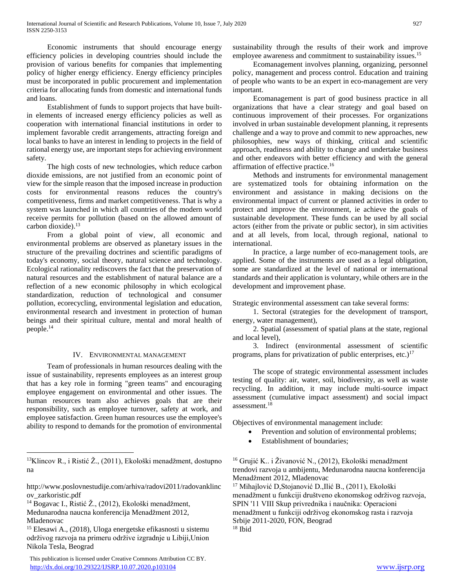Economic instruments that should encourage energy efficiency policies in developing countries should include the provision of various benefits for companies that implementing policy of higher energy efficiency. Energy efficiency principles must be incorporated in public procurement and implementation criteria for allocating funds from domestic and international funds and loans.

 Establishment of funds to support projects that have builtin elements of increased energy efficiency policies as well as cooperation with international financial institutions in order to implement favorable credit arrangements, attracting foreign and local banks to have an interest in lending to projects in the field of rational energy use, are important steps for achieving environment safety.

 The high costs of new technologies, which reduce carbon dioxide emissions, are not justified from an economic point of view for the simple reason that the imposed increase in production costs for environmental reasons reduces the country's competitiveness, firms and market competitiveness. That is why a system was launched in which all countries of the modern world receive permits for pollution (based on the allowed amount of carbon dioxide).<sup>13</sup>

 From a global point of view, all economic and environmental problems are observed as planetary issues in the structure of the prevailing doctrines and scientific paradigms of today's economy, social theory, natural science and technology. Ecological rationality rediscovers the fact that the preservation of natural resources and the establishment of natural balance are a reflection of a new economic philosophy in which ecological standardization, reduction of technological and consumer pollution, ecorecycling, environmental legislation and education, environmental research and investment in protection of human beings and their spiritual culture, mental and moral health of people.<sup>14</sup>

#### IV. ENVIRONMENTAL MANAGEMENT

 Team of professionals in human resources dealing with the issue of sustainability, represents employees as an interest group that has a key role in forming "green teams" and encouraging employee engagement on environmental and other issues. The human resources team also achieves goals that are their responsibility, such as employee turnover, safety at work, and employee satisfaction. Green human resources use the employee's ability to respond to demands for the promotion of environmental

<sup>14</sup> Bogavac I., Ristić Ž., (2012), Ekološki menadžment, Medunarodna naucna konferencija Menadžment 2012, Mladenovac

 $\overline{a}$ 

sustainability through the results of their work and improve employee awareness and commitment to sustainability issues.<sup>15</sup>

 Ecomanagement involves planning, organizing, personnel policy, management and process control. Education and training of people who wants to be an expert in eco-management are very important.

 Ecomanagement is part of good business practice in all organizations that have a clear strategy and goal based on continuous improvement of their processes. For organizations involved in urban sustainable development planning, it represents challenge and a way to prove and commit to new approaches, new philosophies, new ways of thinking, critical and scientific approach, readiness and ability to change and undertake business and other endeavors with better efficiency and with the general affirmation of effective practice.<sup>16</sup>

 Methods and instruments for environmental management are systematized tools for obtaining information on the environment and assistance in making decisions on the environmental impact of current or planned activities in order to protect and improve the environment, ie achieve the goals of sustainable development. These funds can be used by all social actors (either from the private or public sector), in sim activities and at all levels, from local, through regional, national to international.

 In practice, a large number of eco-management tools, are applied. Some of the instruments are used as a legal obligation, some are standardized at the level of national or international standards and their application is voluntary, while others are in the development and improvement phase.

Strategic environmental assessment can take several forms:

 1. Sectoral (strategies for the development of transport, energy, water management),

 2. Spatial (assessment of spatial plans at the state, regional and local level),

 3. Indirect (environmental assessment of scientific programs, plans for privatization of public enterprises, etc.) $17$ 

 The scope of strategic environmental assessment includes testing of quality: air, water, soil, biodiversity, as well as waste recycling. In addition, it may include multi-source impact assessment (cumulative impact assessment) and social impact assessment.<sup>18</sup>

Objectives of environmental management include:

- Prevention and solution of environmental problems;
- Establishment of boundaries;

<sup>16</sup> Grujić K.. i Živanović N., (2012), Ekološki menadžment trendovi razvoja u ambijentu, Medunarodna naucna konferencija Menadžment 2012, Mladenovac

<sup>17</sup> Mihajlović D,Stojanović D.,Ilić B., (2011), Ekološki menadžment u funkciji društveno ekonomskog održivog razvoja, SPIN '11 VIII Skup privrednika i naučnika: Operacioni menadžment u funkciji održivog ekonomskog rasta i razvoja Srbije 2011-2020, FON, Beograd <sup>18</sup> Ibid

<sup>13</sup>Klincov R., i Ristić Ž., (2011), Ekološki menadžment, dostupno na

http://www.poslovnestudije.com/arhiva/radovi2011/radovanklinc ov\_zarkoristic.pdf

<sup>15</sup> Elesawi A., (2018), Uloga energetske efikasnosti u sistemu održivog razvoja na primeru održive izgradnje u Libiji,Union Nikola Tesla, Beograd

This publication is licensed under Creative Commons Attribution CC BY. <http://dx.doi.org/10.29322/IJSRP.10.07.2020.p103104> [www.ijsrp.org](http://ijsrp.org/)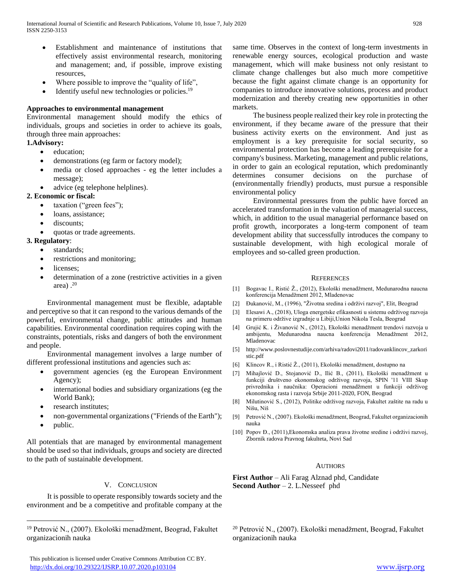- Establishment and maintenance of institutions that effectively assist environmental research, monitoring and management; and, if possible, improve existing resources,
- Where possible to improve the "quality of life",
- Identify useful new technologies or policies.<sup>19</sup>

## **Approaches to environmental management**

Environmental management should modify the ethics of individuals, groups and societies in order to achieve its goals, through three main approaches:

## **1.Advisory:**

- education;
- demonstrations (eg farm or factory model);
- media or closed approaches eg the letter includes a message);
- advice (eg telephone helplines).

## **2. Economic or fiscal:**

- taxation ("green fees");
- loans, assistance;
- discounts;
- quotas or trade agreements.

## **3. Regulatory**:

- standards;
- restrictions and monitoring;
- licenses;
- determination of a zone (restrictive activities in a given area) .<sup>20</sup>

 Environmental management must be flexible, adaptable and perceptive so that it can respond to the various demands of the powerful, environmental change, public attitudes and human capabilities. Environmental coordination requires coping with the constraints, potentials, risks and dangers of both the environment and people.

 Environmental management involves a large number of different professional institutions and agencies such as:

- government agencies (eg the European Environment Agency);
- international bodies and subsidiary organizations (eg the World Bank);
- research institutes;
- non-governmental organizations ("Friends of the Earth");
- public.

 $\overline{a}$ 

All potentials that are managed by environmental management should be used so that individuals, groups and society are directed to the path of sustainable development.

## V. CONCLUSION

 It is possible to operate responsibly towards society and the environment and be a competitive and profitable company at the

 This publication is licensed under Creative Commons Attribution CC BY. <http://dx.doi.org/10.29322/IJSRP.10.07.2020.p103104> [www.ijsrp.org](http://ijsrp.org/)

same time. Observes in the context of long-term investments in renewable energy sources, ecological production and waste management, which will make business not only resistant to climate change challenges but also much more competitive because the fight against climate change is an opportunity for companies to introduce innovative solutions, process and product modernization and thereby creating new opportunities in other markets.

 The business people realized their key role in protecting the environment, if they became aware of the pressure that their business activity exerts on the environment. And just as employment is a key prerequisite for social security, so environmental protection has become a leading prerequisite for a company's business. Marketing, management and public relations, in order to gain an ecological reputation, which predominantly determines consumer decisions on the purchase of (environmentally friendly) products, must pursue a responsible environmental policy

 Environmental pressures from the public have forced an accelerated transformation in the valuation of managerial success, which, in addition to the usual managerial performance based on profit growth, incorporates a long-term component of team development ability that successfully introduces the company to sustainable development, with high ecological morale of employees and so-called green production.

#### **REFERENCES**

- [1] Bogavac I., Ristić Ž., (2012), Ekološki menadžment, Medunarodna naucna konferencija Menadžment 2012, Mladenovac
- [2] Đukanović, M., (1996), "Životna sredina i održivi razvoj", Elit, Beograd
- [3] Elesawi A., (2018), Uloga energetske efikasnosti u sistemu održivog razvoja na primeru održive izgradnje u Libiji,Union Nikola Tesla, Beograd
- [4] Grujić K. i Živanović N., (2012), Ekološki menadžment trendovi razvoja u ambijentu, Medunarodna naucna konferencija Menadžment 2012, Mladenovac
- [5] http://www.poslovnestudije.com/arhiva/radovi2011/radovanklincov\_zarkori stic.pdf
- [6] Klincov R., i Ristić Ž., (2011), Ekološki menadžment, dostupno na
- [7] Mihajlović D., Stojanović D., Ilić B., (2011), Ekološki menadžment u funkciji društveno ekonomskog održivog razvoja, SPIN '11 VIII Skup privrednika i naučnika: Operacioni menadžment u funkciji održivog ekonomskog rasta i razvoja Srbije 2011-2020, FON, Beograd
- [8] Milutinović S., (2012), Politike održivog razvoja, Fakultet zaštite na radu u Nišu, Niš
- [9] Petrović N., (2007). Ekološki menadžment, Beograd, Fakultet organizacionih nauka
- [10] Popov Đ., (2011),Ekonomska analiza prava životne sredine i održivi razvoj, Zbornik radova Pravnog fakulteta, Novi Sad

#### AUTHORS

**First Author** – Ali Farag Alznad phd, Candidate **Second Author** – 2. L.Nesseef phd

<sup>20</sup> Petrović N., (2007). Ekološki menadžment, Beograd, Fakultet organizacionih nauka

<sup>19</sup> Petrović N., (2007). Ekološki menadžment, Beograd, Fakultet organizacionih nauka